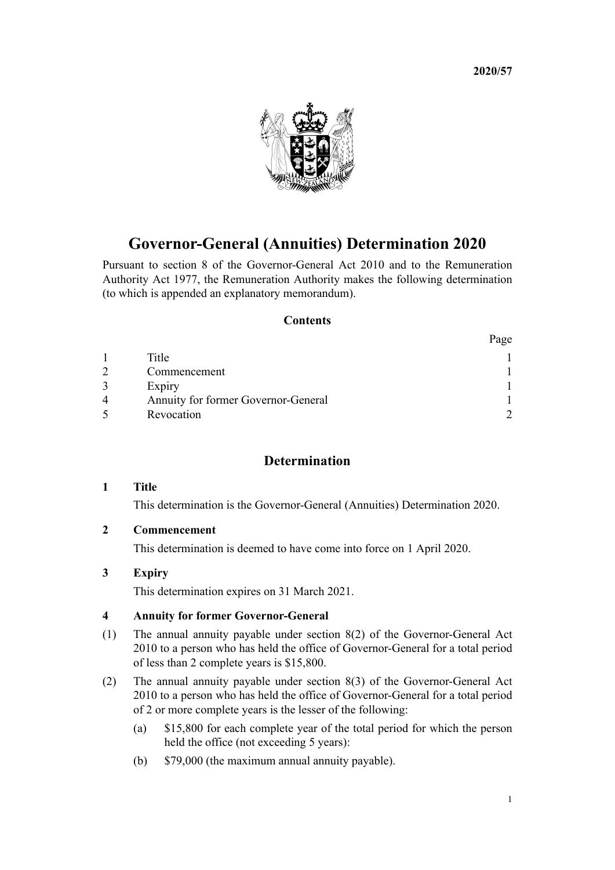**2020/57**



# **Governor-General (Annuities) Determination 2020**

Pursuant to [section 8](http://legislation.govt.nz/pdflink.aspx?id=DLM2999125) of the [Governor-General Act 2010](http://legislation.govt.nz/pdflink.aspx?id=DLM2999100) and to the [Remuneration](http://legislation.govt.nz/pdflink.aspx?id=DLM15636) [Authority Act 1977](http://legislation.govt.nz/pdflink.aspx?id=DLM15636), the Remuneration Authority makes the following determination (to which is appended an explanatory memorandum).

#### **Contents**

|   |                                     | Page |
|---|-------------------------------------|------|
|   | Title                               |      |
|   | Commencement                        |      |
|   | Expiry                              |      |
| 4 | Annuity for former Governor-General |      |
|   | Revocation                          |      |

# **Determination**

## **1 Title**

This determination is the Governor-General (Annuities) Determination 2020.

## **2 Commencement**

This determination is deemed to have come into force on 1 April 2020.

# **3 Expiry**

This determination expires on 31 March 2021.

## **4 Annuity for former Governor-General**

- (1) The annual annuity payable under [section 8\(2\)](http://legislation.govt.nz/pdflink.aspx?id=DLM2999125) of the Governor-General Act 2010 to a person who has held the office of Governor-General for a total period of less than 2 complete years is \$15,800.
- (2) The annual annuity payable under [section 8\(3\)](http://legislation.govt.nz/pdflink.aspx?id=DLM2999125) of the Governor-General Act 2010 to a person who has held the office of Governor-General for a total period of 2 or more complete years is the lesser of the following:
	- (a) \$15,800 for each complete year of the total period for which the person held the office (not exceeding 5 years):
	- (b) \$79,000 (the maximum annual annuity payable).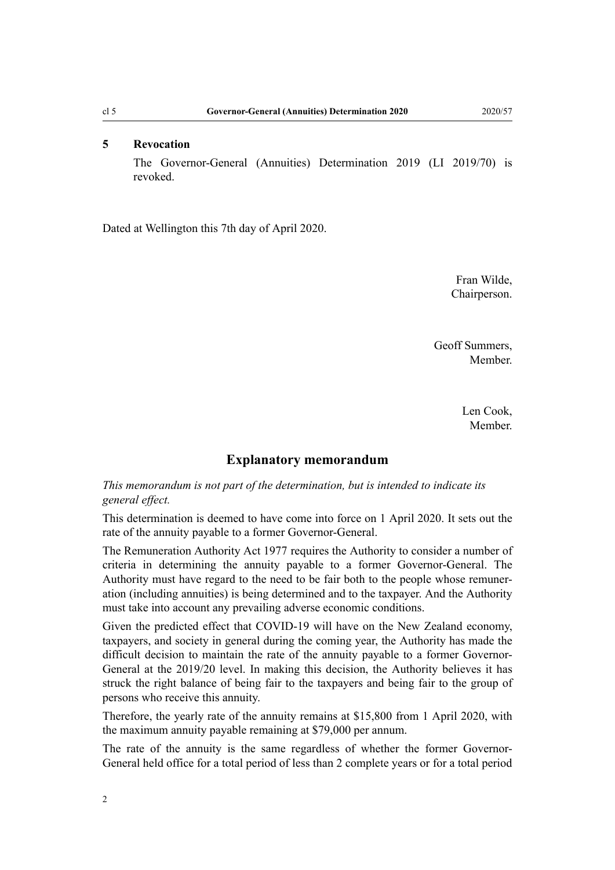# <span id="page-1-0"></span>**5 Revocation**

The [Governor-General \(Annuities\) Determination 2019](http://legislation.govt.nz/pdflink.aspx?id=LMS180410) (LI 2019/70) is revoked.

Dated at Wellington this 7th day of April 2020.

Fran Wilde, Chairperson.

Geoff Summers, Member.

> Len Cook, Member.

## **Explanatory memorandum**

*This memorandum is not part of the determination, but is intended to indicate its general effect.*

This determination is deemed to have come into force on 1 April 2020. It sets out the rate of the annuity payable to a former Governor-General.

The [Remuneration Authority Act 1977](http://legislation.govt.nz/pdflink.aspx?id=DLM15636) requires the Authority to consider a number of criteria in determining the annuity payable to a former Governor-General. The Authority must have regard to the need to be fair both to the people whose remuneration (including annuities) is being determined and to the taxpayer. And the Authority must take into account any prevailing adverse economic conditions.

Given the predicted effect that COVID-19 will have on the New Zealand economy, taxpayers, and society in general during the coming year, the Authority has made the difficult decision to maintain the rate of the annuity payable to a former Governor-General at the 2019/20 level. In making this decision, the Authority believes it has struck the right balance of being fair to the taxpayers and being fair to the group of persons who receive this annuity.

Therefore, the yearly rate of the annuity remains at \$15,800 from 1 April 2020, with the maximum annuity payable remaining at \$79,000 per annum.

The rate of the annuity is the same regardless of whether the former Governor-General held office for a total period of less than 2 complete years or for a total period